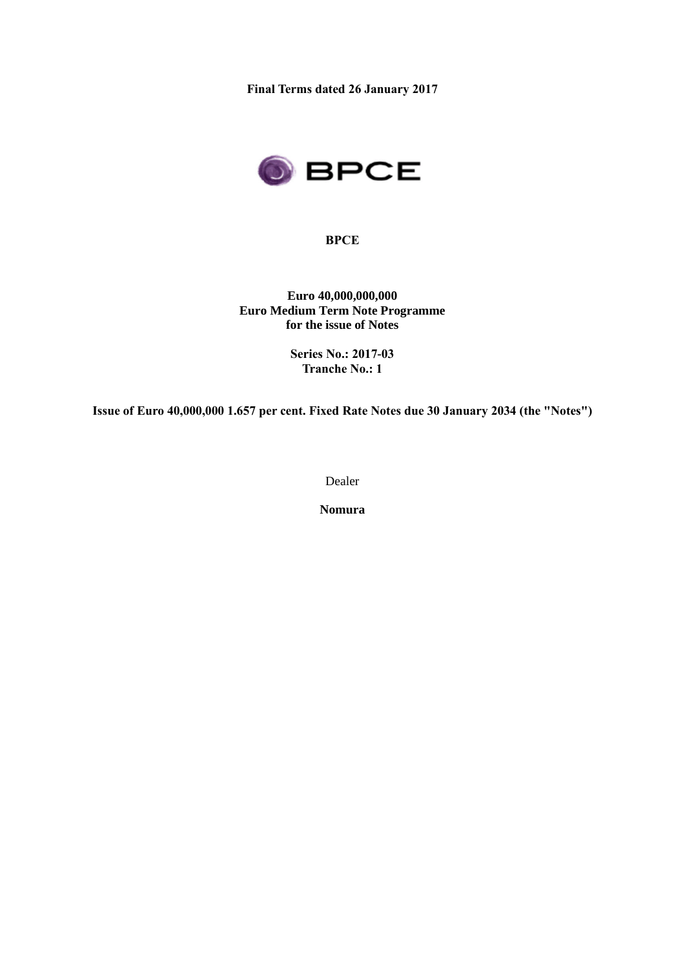**Final Terms dated 26 January 2017**



**BPCE**

**Euro 40,000,000,000 Euro Medium Term Note Programme for the issue of Notes**

> **Series No.: 2017-03 Tranche No.: 1**

**Issue of Euro 40,000,000 1.657 per cent. Fixed Rate Notes due 30 January 2034 (the "Notes")**

Dealer

**Nomura**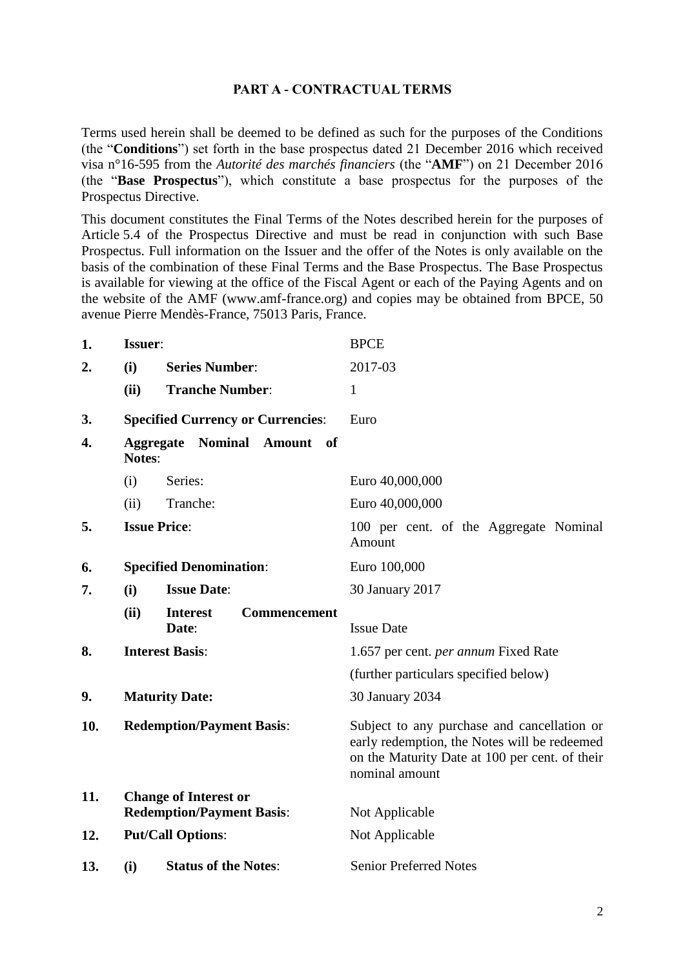#### **PART A - CONTRACTUAL TERMS**

Terms used herein shall be deemed to be defined as such for the purposes of the Conditions (the "**Conditions**") set forth in the base prospectus dated 21 December 2016 which received visa n°16-595 from the *Autorité des marchés financiers* (the "**AMF**") on 21 December 2016 (the "**Base Prospectus**"), which constitute a base prospectus for the purposes of the Prospectus Directive.

This document constitutes the Final Terms of the Notes described herein for the purposes of Article 5.4 of the Prospectus Directive and must be read in conjunction with such Base Prospectus. Full information on the Issuer and the offer of the Notes is only available on the basis of the combination of these Final Terms and the Base Prospectus. The Base Prospectus is available for viewing at the office of the Fiscal Agent or each of the Paying Agents and on the website of the AMF (www.amf-france.org) and copies may be obtained from BPCE, 50 avenue Pierre Mendès-France, 75013 Paris, France.

| 1.  | Issuer:                          |                                                                  | <b>BPCE</b>                                                                                                                                                     |
|-----|----------------------------------|------------------------------------------------------------------|-----------------------------------------------------------------------------------------------------------------------------------------------------------------|
| 2.  | (i)                              | <b>Series Number:</b>                                            | 2017-03                                                                                                                                                         |
|     | (ii)                             | <b>Tranche Number:</b>                                           | 1                                                                                                                                                               |
| 3.  |                                  | <b>Specified Currency or Currencies:</b>                         | Euro                                                                                                                                                            |
| 4.  | <b>Notes:</b>                    | <b>Aggregate Nominal Amount</b><br>- of                          |                                                                                                                                                                 |
|     | (i)                              | Series:                                                          | Euro 40,000,000                                                                                                                                                 |
|     | (ii)                             | Tranche:                                                         | Euro 40,000,000                                                                                                                                                 |
| 5.  |                                  | <b>Issue Price:</b>                                              | 100 per cent. of the Aggregate Nominal<br>Amount                                                                                                                |
| 6.  |                                  | <b>Specified Denomination:</b>                                   | Euro 100,000                                                                                                                                                    |
| 7.  | (i)                              | <b>Issue Date:</b>                                               | 30 January 2017                                                                                                                                                 |
|     | (ii)                             | Commencement<br><b>Interest</b><br>Date:                         | <b>Issue Date</b>                                                                                                                                               |
| 8.  |                                  | <b>Interest Basis:</b>                                           | 1.657 per cent. <i>per annum</i> Fixed Rate                                                                                                                     |
|     |                                  |                                                                  | (further particulars specified below)                                                                                                                           |
| 9.  |                                  | <b>Maturity Date:</b>                                            | 30 January 2034                                                                                                                                                 |
| 10. | <b>Redemption/Payment Basis:</b> |                                                                  | Subject to any purchase and cancellation or<br>early redemption, the Notes will be redeemed<br>on the Maturity Date at 100 per cent. of their<br>nominal amount |
| 11. |                                  | <b>Change of Interest or</b><br><b>Redemption/Payment Basis:</b> | Not Applicable                                                                                                                                                  |
| 12. |                                  | <b>Put/Call Options:</b>                                         | Not Applicable                                                                                                                                                  |
| 13. | (i)                              | <b>Status of the Notes:</b>                                      | <b>Senior Preferred Notes</b>                                                                                                                                   |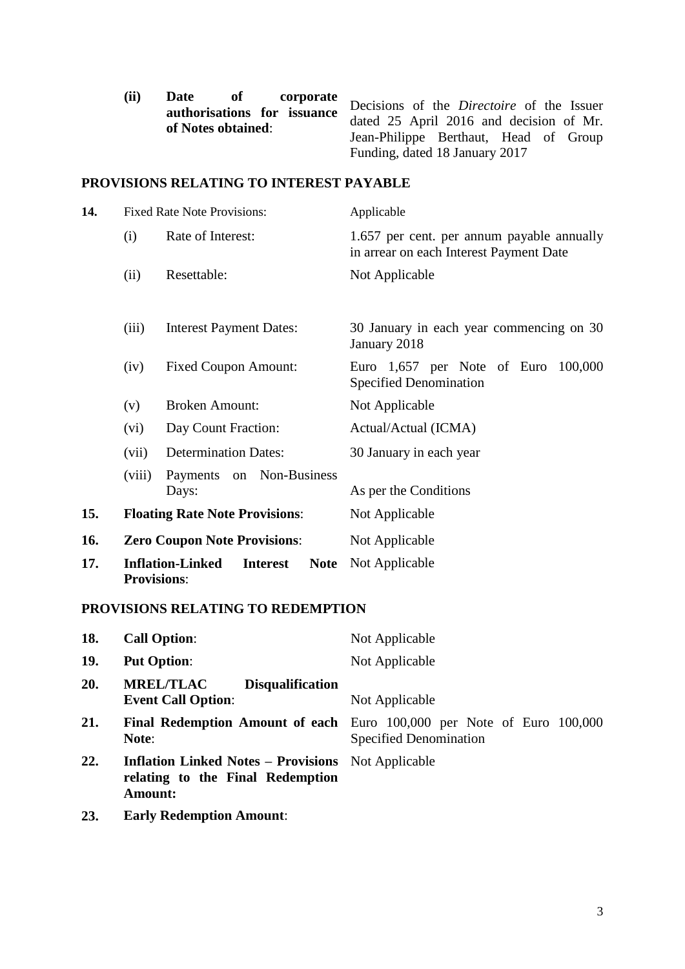| (ii) | Date<br>$\bf{o}f$           | <b>corporate</b>                      |                                           |
|------|-----------------------------|---------------------------------------|-------------------------------------------|
|      | authorisations for issuance |                                       | Decisions of the Directoire of the Issuer |
|      | of Notes obtained:          |                                       | dated 25 April 2016 and decision of Mr.   |
|      |                             | Jean-Philippe Berthaut, Head of Group |                                           |
|      |                             |                                       | Funding, dated 18 January 2017            |

## **PROVISIONS RELATING TO INTEREST PAYABLE**

| 14. |                    | <b>Fixed Rate Note Provisions:</b>                        | Applicable                                                                            |
|-----|--------------------|-----------------------------------------------------------|---------------------------------------------------------------------------------------|
|     | (i)                | Rate of Interest:                                         | 1.657 per cent. per annum payable annually<br>in arrear on each Interest Payment Date |
|     | (ii)               | Resettable:                                               | Not Applicable                                                                        |
|     | (iii)              | <b>Interest Payment Dates:</b>                            | 30 January in each year commencing on 30<br>January 2018                              |
|     | (iv)               | <b>Fixed Coupon Amount:</b>                               | Euro 1,657 per Note of Euro<br>100,000<br>Specified Denomination                      |
|     | (v)                | <b>Broken Amount:</b>                                     | Not Applicable                                                                        |
|     | (vi)               | Day Count Fraction:                                       | Actual/Actual (ICMA)                                                                  |
|     | (vii)              | <b>Determination Dates:</b>                               | 30 January in each year                                                               |
|     | (viii)             | Payments on Non-Business<br>Days:                         | As per the Conditions                                                                 |
| 15. |                    | <b>Floating Rate Note Provisions:</b>                     | Not Applicable                                                                        |
| 16. |                    | <b>Zero Coupon Note Provisions:</b>                       | Not Applicable                                                                        |
| 17. | <b>Provisions:</b> | <b>Inflation-Linked</b><br><b>Interest</b><br><b>Note</b> | Not Applicable                                                                        |

## **PROVISIONS RELATING TO REDEMPTION**

| 18. | <b>Call Option:</b>                                                                                             | Not Applicable                                                                                                |
|-----|-----------------------------------------------------------------------------------------------------------------|---------------------------------------------------------------------------------------------------------------|
| 19. | <b>Put Option:</b>                                                                                              | Not Applicable                                                                                                |
| 20. | <b>MREL/TLAC</b><br><b>Disqualification</b><br><b>Event Call Option:</b>                                        | Not Applicable                                                                                                |
| 21. | Note:                                                                                                           | <b>Final Redemption Amount of each</b> Euro 100,000 per Note of Euro 100,000<br><b>Specified Denomination</b> |
| 22. | <b>Inflation Linked Notes – Provisions</b> Not Applicable<br>relating to the Final Redemption<br><b>Amount:</b> |                                                                                                               |
|     |                                                                                                                 |                                                                                                               |

**23. Early Redemption Amount**: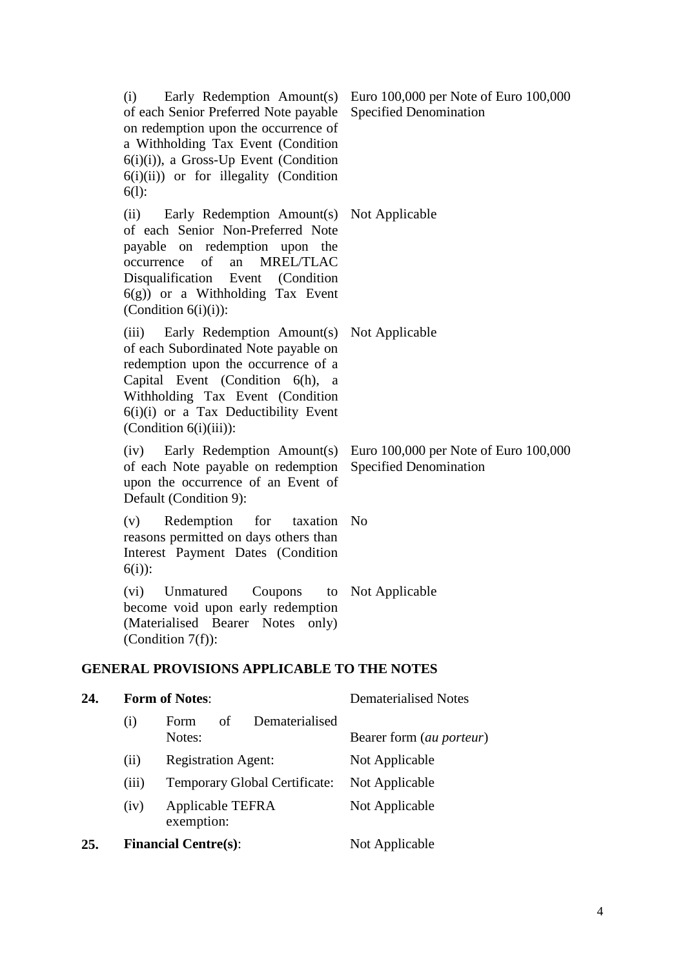|     | (i)<br>$6(l)$ : | of each Senior Preferred Note payable<br>on redemption upon the occurrence of<br>a Withholding Tax Event (Condition<br>6(i)(i)), a Gross-Up Event (Condition<br>$6(i)(ii)$ or for illegality (Condition                                                                     | Early Redemption Amount(s) Euro 100,000 per Note of Euro 100,000<br><b>Specified Denomination</b> |
|-----|-----------------|-----------------------------------------------------------------------------------------------------------------------------------------------------------------------------------------------------------------------------------------------------------------------------|---------------------------------------------------------------------------------------------------|
|     |                 | (ii) Early Redemption Amount(s) Not Applicable<br>of each Senior Non-Preferred Note<br>payable on redemption upon the<br>occurrence of an MREL/TLAC<br>Disqualification Event (Condition<br>$6(g)$ ) or a Withholding Tax Event<br>(Condition $6(i)(i)$ ):                  |                                                                                                   |
|     |                 | (iii) Early Redemption Amount(s) Not Applicable<br>of each Subordinated Note payable on<br>redemption upon the occurrence of a<br>Capital Event (Condition 6(h), a<br>Withholding Tax Event (Condition<br>6(i)(i) or a Tax Deductibility Event<br>$(Condition 6(i)(iii))$ : |                                                                                                   |
|     |                 | (iv) Early Redemption Amount(s)<br>of each Note payable on redemption<br>upon the occurrence of an Event of<br>Default (Condition 9):                                                                                                                                       | Euro 100,000 per Note of Euro 100,000<br><b>Specified Denomination</b>                            |
|     | (v)<br>$6(i)$ : | Redemption<br>for<br>taxation No<br>reasons permitted on days others than<br>Interest Payment Dates (Condition                                                                                                                                                              |                                                                                                   |
|     | (vi)            | Unmatured<br>Coupons<br>become void upon early redemption<br>(Materialised Bearer Notes<br>only)<br>(Condition $7(f)$ ):                                                                                                                                                    | to Not Applicable                                                                                 |
|     |                 | <b>GENERAL PROVISIONS APPLICABLE TO THE NOTES</b>                                                                                                                                                                                                                           |                                                                                                   |
| 24. |                 | <b>Form of Notes:</b>                                                                                                                                                                                                                                                       | <b>Dematerialised Notes</b>                                                                       |
|     | (i)             | Dematerialised<br>Form<br>of<br>Notes:                                                                                                                                                                                                                                      | Bearer form (au porteur)                                                                          |
|     | (ii)            | <b>Registration Agent:</b>                                                                                                                                                                                                                                                  | Not Applicable                                                                                    |
|     | (iii)           | <b>Temporary Global Certificate:</b>                                                                                                                                                                                                                                        | Not Applicable                                                                                    |
|     | (iv)            | Applicable TEFRA                                                                                                                                                                                                                                                            | Not Applicable                                                                                    |

# exemption:

# **25. Financial Centre(s)**: Not Applicable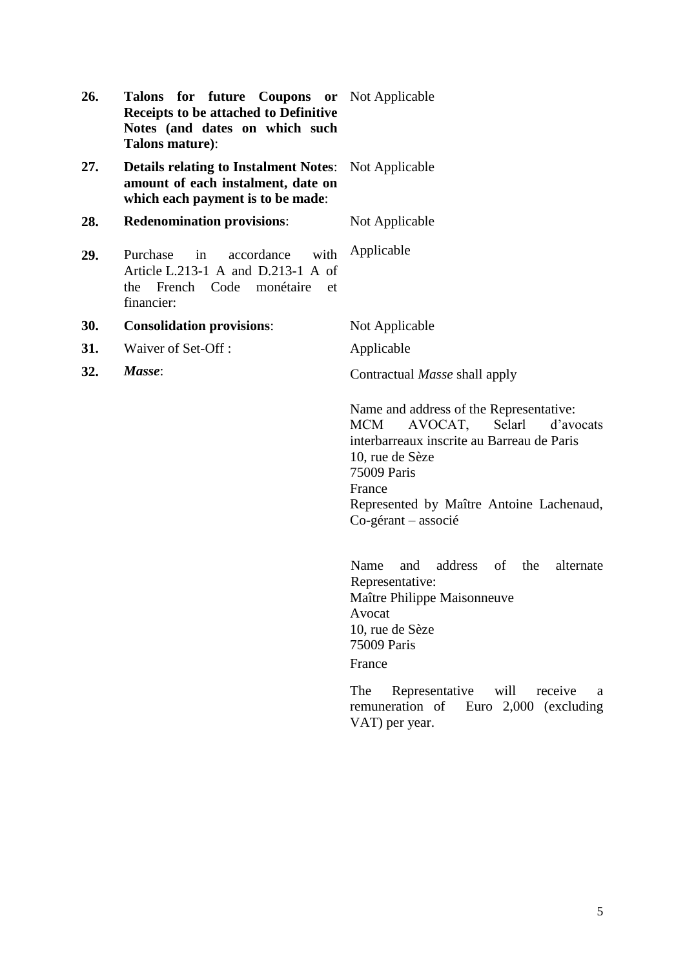| 26. | <b>Talons for future Coupons or</b> Not Applicable<br>Receipts to be attached to Definitive<br>Notes (and dates on which such<br>Talons mature): |                                                                                                                                                                                                                                                   |
|-----|--------------------------------------------------------------------------------------------------------------------------------------------------|---------------------------------------------------------------------------------------------------------------------------------------------------------------------------------------------------------------------------------------------------|
| 27. | <b>Details relating to Instalment Notes:</b><br>amount of each instalment, date on<br>which each payment is to be made:                          | Not Applicable                                                                                                                                                                                                                                    |
| 28. | <b>Redenomination provisions:</b>                                                                                                                | Not Applicable                                                                                                                                                                                                                                    |
| 29. | accordance<br>with<br>Purchase<br>in<br>Article L.213-1 A and D.213-1 A of<br>French Code<br>monétaire<br>the<br>et<br>financier:                | Applicable                                                                                                                                                                                                                                        |
| 30. | <b>Consolidation provisions:</b>                                                                                                                 | Not Applicable                                                                                                                                                                                                                                    |
| 31. | Waiver of Set-Off:                                                                                                                               | Applicable                                                                                                                                                                                                                                        |
| 32. | Masse:                                                                                                                                           | Contractual Masse shall apply                                                                                                                                                                                                                     |
|     |                                                                                                                                                  | Name and address of the Representative:<br><b>MCM</b><br>AVOCAT, Selarl<br>d'avocats<br>interbarreaux inscrite au Barreau de Paris<br>10, rue de Sèze<br>75009 Paris<br>France<br>Represented by Maître Antoine Lachenaud,<br>Co-gérant – associé |
|     |                                                                                                                                                  | address of<br>Name<br>the<br>alternate<br>and<br>Representative:<br>Maître Philippe Maisonneuve<br>Avocat<br>10, rue de Sèze<br>75009 Paris<br>France                                                                                             |
|     |                                                                                                                                                  | The<br>Representative<br>will<br>receive<br>a<br>remuneration of<br>Euro $2,000$ (excluding<br>VAT) per year.                                                                                                                                     |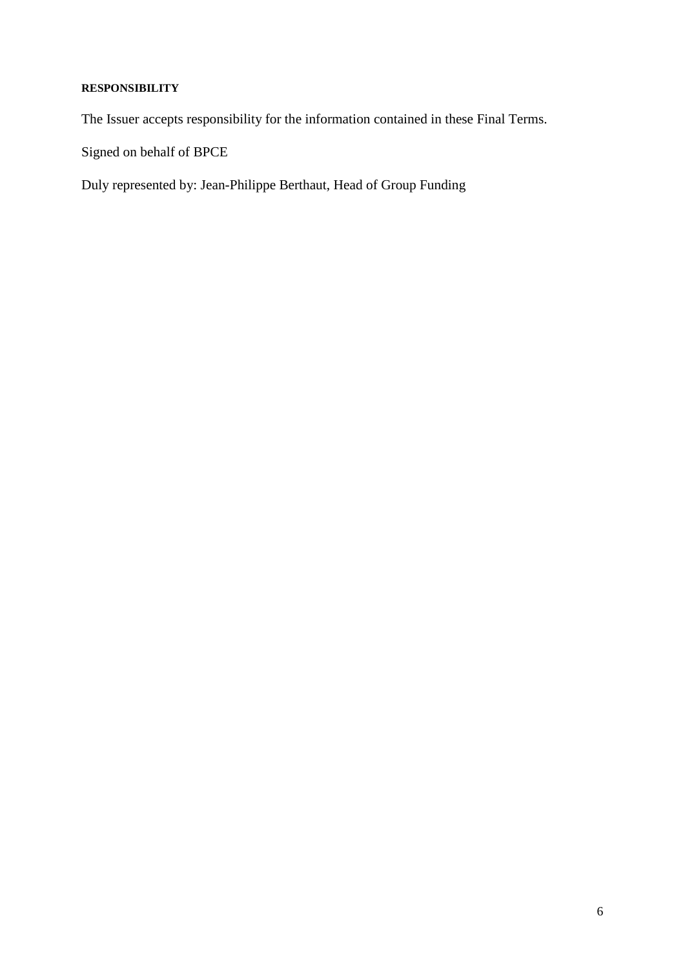# **RESPONSIBILITY**

The Issuer accepts responsibility for the information contained in these Final Terms.

Signed on behalf of BPCE

Duly represented by: Jean-Philippe Berthaut, Head of Group Funding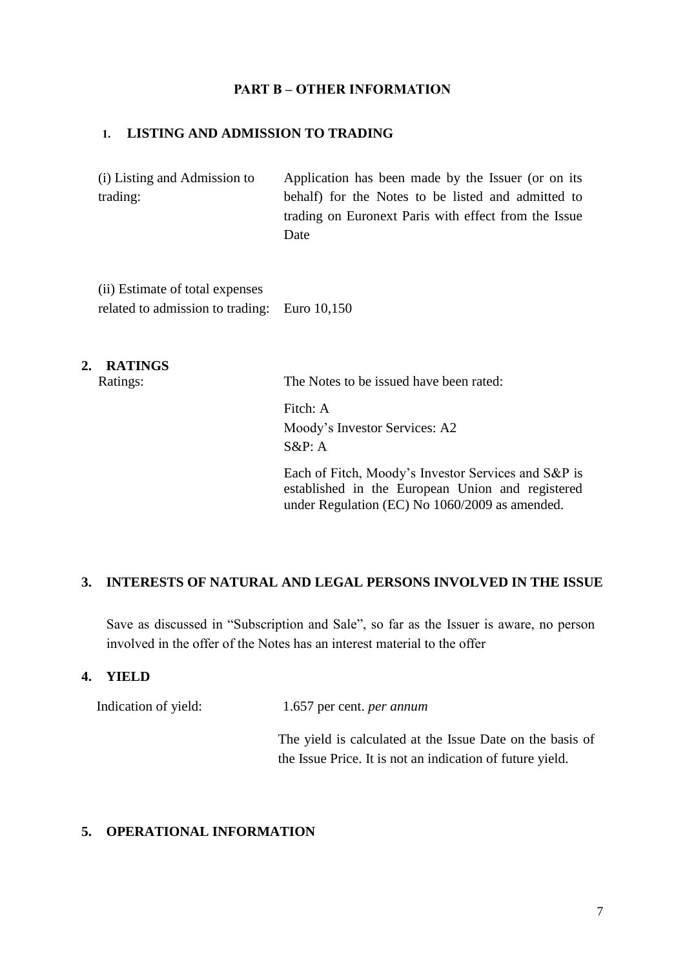#### **PART B – OTHER INFORMATION**

#### **1. LISTING AND ADMISSION TO TRADING**

(i) Listing and Admission to trading: Application has been made by the Issuer (or on its behalf) for the Notes to be listed and admitted to trading on Euronext Paris with effect from the Issue Date

(ii) Estimate of total expenses related to admission to trading: Euro 10,150

#### **2. RATINGS**

Ratings: The Notes to be issued have been rated:

Fitch: A Moody's Investor Services: A2 S&P: A

Each of Fitch, Moody's Investor Services and S&P is established in the European Union and registered under Regulation (EC) No 1060/2009 as amended.

#### **3. INTERESTS OF NATURAL AND LEGAL PERSONS INVOLVED IN THE ISSUE**

Save as discussed in "Subscription and Sale", so far as the Issuer is aware, no person involved in the offer of the Notes has an interest material to the offer

#### **4. YIELD**

Indication of yield: 1.657 per cent. *per annum*

The yield is calculated at the Issue Date on the basis of the Issue Price. It is not an indication of future yield.

#### **5. OPERATIONAL INFORMATION**